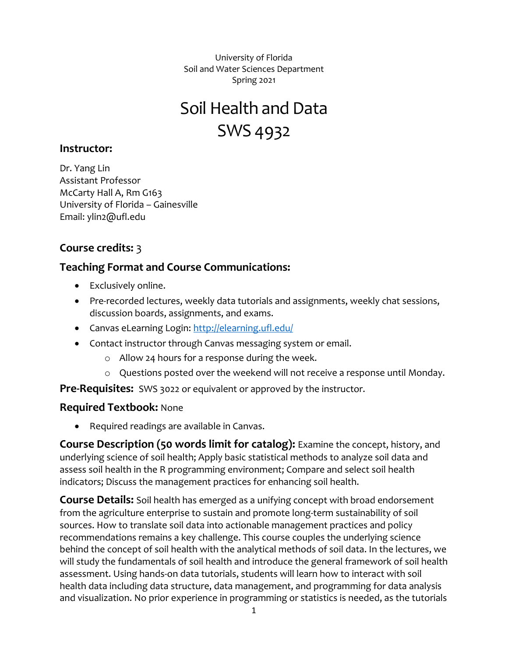University of Florida Soil and Water Sciences Department Spring 2021

# Soil Health and Data SWS 4932

#### **Instructor:**

Dr. Yang Lin Assistant Professor McCarty Hall A, Rm G163 University of Florida – Gainesville Email: ylin2@ufl.edu

# **Course credits:** 3

## **Teaching Format and Course Communications:**

- Exclusively online.
- Pre-recorded lectures, weekly data tutorials and assignments, weekly chat sessions, discussion boards, assignments, and exams.
- Canvas eLearning Login:<http://elearning.ufl.edu/>
- Contact instructor through Canvas messaging system or email.
	- o Allow 24 hours for a response during the week.
	- o Questions posted over the weekend will not receive a response until Monday.

**Pre-Requisites:** SWS 3022 or equivalent or approved by the instructor.

#### **Required Textbook:** None

• Required readings are available in Canvas.

**Course Description (50 words limit for catalog):** Examine the concept, history, and underlying science of soil health; Apply basic statistical methods to analyze soil data and assess soil health in the R programming environment; Compare and select soil health indicators; Discuss the management practices for enhancing soil health.

**Course Details:** Soil health has emerged as a unifying concept with broad endorsement from the agriculture enterprise to sustain and promote long-term sustainability of soil sources. How to translate soil data into actionable management practices and policy recommendations remains a key challenge. This course couples the underlying science behind the concept of soil health with the analytical methods of soil data. In the lectures, we will study the fundamentals of soil health and introduce the general framework of soil health assessment. Using hands-on data tutorials, students will learn how to interact with soil health data including data structure, data management, and programming for data analysis and visualization. No prior experience in programming or statistics is needed, as the tutorials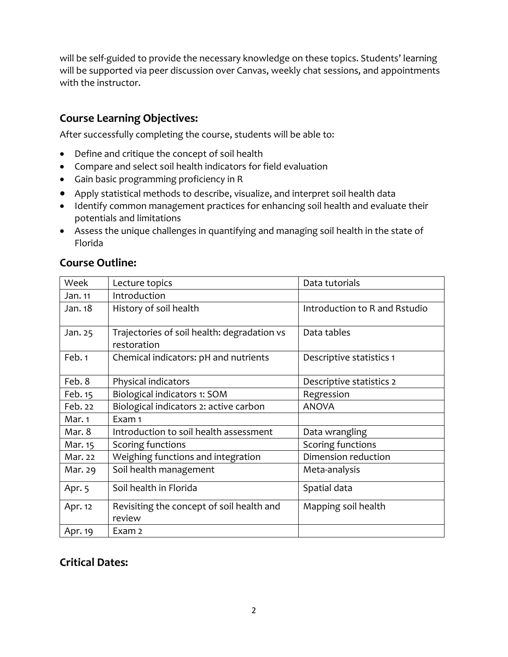will be self-guided to provide the necessary knowledge on these topics. Students' learning will be supported via peer discussion over Canvas, weekly chat sessions, and appointments with the instructor.

# **Course Learning Objectives:**

After successfully completing the course, students will be able to:

- Define and critique the concept of soil health
- Compare and select soil health indicators for field evaluation
- Gain basic programming proficiency in R
- Apply statistical methods to describe, visualize, and interpret soil health data
- Identify common management practices for enhancing soil health and evaluate their potentials and limitations
- Assess the unique challenges in quantifying and managing soil health in the state of Florida

| <b>Course Outline:</b> |  |
|------------------------|--|
|------------------------|--|

| Week                                          | Lecture topics                                             | Data tutorials                |  |
|-----------------------------------------------|------------------------------------------------------------|-------------------------------|--|
| Jan. 11                                       | Introduction                                               |                               |  |
| Jan. 18                                       | History of soil health                                     | Introduction to R and Rstudio |  |
| Jan. 25                                       | Trajectories of soil health: degradation vs<br>restoration | Data tables                   |  |
| Feb. 1                                        | Chemical indicators: pH and nutrients                      | Descriptive statistics 1      |  |
| Feb. 8                                        | Physical indicators                                        | Descriptive statistics 2      |  |
| Feb. 15                                       | Biological indicators 1: SOM                               | Regression                    |  |
| Feb. 22                                       | Biological indicators 2: active carbon                     | <b>ANOVA</b>                  |  |
| Mar. 1                                        | Exam 1                                                     |                               |  |
| Mar. 8                                        | Introduction to soil health assessment                     | Data wrangling                |  |
| Mar. 15                                       | Scoring functions                                          | Scoring functions             |  |
| Weighing functions and integration<br>Mar. 22 |                                                            | Dimension reduction           |  |
| Mar. 29                                       | Soil health management                                     | Meta-analysis                 |  |
| Apr. 5                                        | Soil health in Florida                                     | Spatial data                  |  |
| Apr. 12                                       | Revisiting the concept of soil health and<br>review        | Mapping soil health           |  |
| Apr. 19                                       | Exam 2                                                     |                               |  |

# **Critical Dates:**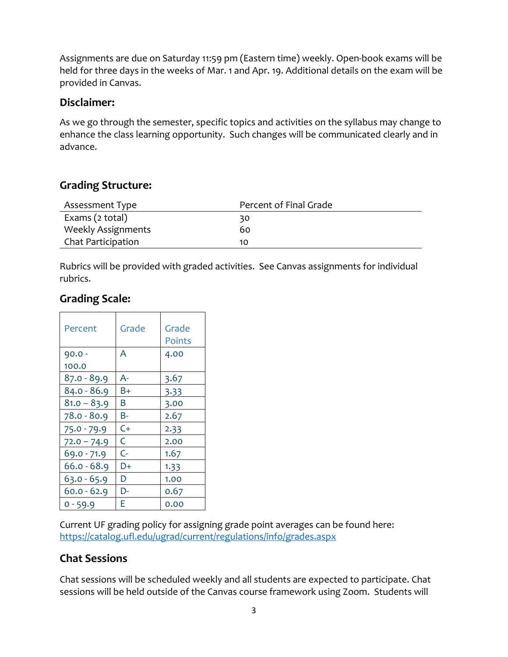Assignments are due on Saturday 11:59 pm (Eastern time) weekly. Open-book exams will be held for three days in the weeks of Mar. 1 and Apr. 19. Additional details on the exam will be provided in Canvas.

#### **Disclaimer:**

As we go through the semester, specific topics and activities on the syllabus may change to enhance the class learning opportunity. Such changes will be communicated clearly and in advance.

## **Grading Structure:**

| Assessment Type           | Percent of Final Grade |
|---------------------------|------------------------|
| Exams (2 total)           | 30                     |
| <b>Weekly Assignments</b> | 60                     |
| Chat Participation        | 10                     |

Rubrics will be provided with graded activities. See Canvas assignments for individual rubrics.

#### **Grading Scale:**

| Percent       | Grade          | Grade<br><b>Points</b> |
|---------------|----------------|------------------------|
| $90.0 -$      | A              | 4.00                   |
| 100.0         |                |                        |
| $87.0 - 89.9$ | A-             | 3.67                   |
| $84.0 - 86.9$ | B+             | 3.33                   |
| $81.0 - 83.9$ | Β              | 3.00                   |
| $78.0 - 80.9$ | B-             | 2.67                   |
| $75.0 - 79.9$ | C+             | 2.33                   |
| $72.0 - 74.9$ | C              | 2.00                   |
| 69.0 - 71.9   | $\mathsf{C}$ - | 1.67                   |
| $66.0 - 68.9$ | D+             | 1.33                   |
| $63.0 - 65.9$ | D              | 1.00                   |
| $60.0 - 62.9$ | D-             | 0.67                   |
| $0 - 59.9$    | F.             | 0.00                   |

Current UF grading policy for assigning grade point averages can be found here: <https://catalog.ufl.edu/ugrad/current/regulations/info/grades.aspx>

# **Chat Sessions**

Chat sessions will be scheduled weekly and all students are expected to participate. Chat sessions will be held outside of the Canvas course framework using Zoom. Students will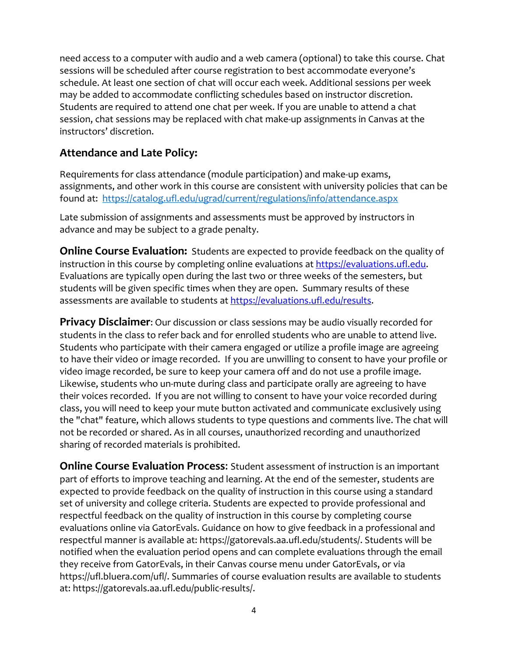need access to a computer with audio and a web camera (optional) to take this course. Chat sessions will be scheduled after course registration to best accommodate everyone's schedule. At least one section of chat will occur each week. Additional sessions per week may be added to accommodate conflicting schedules based on instructor discretion. Students are required to attend one chat per week. If you are unable to attend a chat session, chat sessions may be replaced with chat make-up assignments in Canvas at the instructors' discretion.

## **Attendance and Late Policy:**

Requirements for class attendance (module participation) and make-up exams, assignments, and other work in this course are consistent with university policies that can be found at: <https://catalog.ufl.edu/ugrad/current/regulations/info/attendance.aspx>

Late submission of assignments and assessments must be approved by instructors in advance and may be subject to a grade penalty.

**Online Course Evaluation:** Students are expected to provide feedback on the quality of instruction in this course by completing online evaluations a[t https://evaluations.ufl.edu.](https://evaluations.ufl.edu/) Evaluations are typically open during the last two or three weeks of the semesters, but students will be given specific times when they are open. Summary results of these assessments are available to students at [https://evaluations.ufl.edu/results.](https://evaluations.ufl.edu/results)

**Privacy Disclaimer**: Our discussion or class sessions may be audio visually recorded for students in the class to refer back and for enrolled students who are unable to attend live. Students who participate with their camera engaged or utilize a profile image are agreeing to have their video or image recorded. If you are unwilling to consent to have your profile or video image recorded, be sure to keep your camera off and do not use a profile image. Likewise, students who un-mute during class and participate orally are agreeing to have their voices recorded. If you are not willing to consent to have your voice recorded during class, you will need to keep your mute button activated and communicate exclusively using the "chat" feature, which allows students to type questions and comments live. The chat will not be recorded or shared. As in all courses, unauthorized recording and unauthorized sharing of recorded materials is prohibited.

**Online Course Evaluation Process**: Student assessment of instruction is an important part of efforts to improve teaching and learning. At the end of the semester, students are expected to provide feedback on the quality of instruction in this course using a standard set of university and college criteria. Students are expected to provide professional and respectful feedback on the quality of instruction in this course by completing course evaluations online via GatorEvals. Guidance on how to give feedback in a professional and respectful manner is available at: https://gatorevals.aa.ufl.edu/students/. Students will be notified when the evaluation period opens and can complete evaluations through the email they receive from GatorEvals, in their Canvas course menu under GatorEvals, or via https://ufl.bluera.com/ufl/. Summaries of course evaluation results are available to students at: https://gatorevals.aa.ufl.edu/public-results/.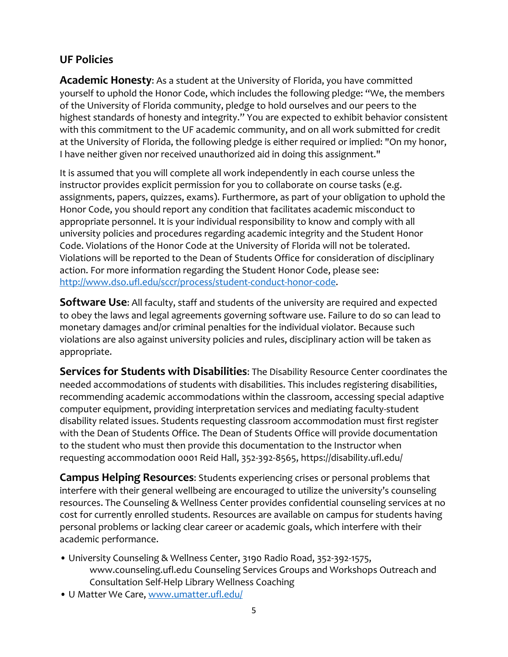## **UF Policies**

**Academic Honesty**: As a student at the University of Florida, you have committed yourself to uphold the Honor Code, which includes the following pledge: "We, the members of the University of Florida community, pledge to hold ourselves and our peers to the highest standards of honesty and integrity." You are expected to exhibit behavior consistent with this commitment to the UF academic community, and on all work submitted for credit at the University of Florida, the following pledge is either required or implied: "On my honor, I have neither given nor received unauthorized aid in doing this assignment."

It is assumed that you will complete all work independently in each course unless the instructor provides explicit permission for you to collaborate on course tasks (e.g. assignments, papers, quizzes, exams). Furthermore, as part of your obligation to uphold the Honor Code, you should report any condition that facilitates academic misconduct to appropriate personnel. It is your individual responsibility to know and comply with all university policies and procedures regarding academic integrity and the Student Honor Code. Violations of the Honor Code at the University of Florida will not be tolerated. Violations will be reported to the Dean of Students Office for consideration of disciplinary action. For more information regarding the Student Honor Code, please see: [http://www.dso.ufl.edu/sccr/process/student-conduct-honor-code.](http://www.dso.ufl.edu/sccr/process/student-conduct-honor-code)

**Software Use**: All faculty, staff and students of the university are required and expected to obey the laws and legal agreements governing software use. Failure to do so can lead to monetary damages and/or criminal penalties for the individual violator. Because such violations are also against university policies and rules, disciplinary action will be taken as appropriate.

**Services for Students with Disabilities**: The Disability Resource Center coordinates the needed accommodations of students with disabilities. This includes registering disabilities, recommending academic accommodations within the classroom, accessing special adaptive computer equipment, providing interpretation services and mediating faculty-student disability related issues. Students requesting classroom accommodation must first register with the Dean of Students Office. The Dean of Students Office will provide documentation to the student who must then provide this documentation to the Instructor when requesting accommodation 0001 Reid Hall, 352-392-8565, https://disability.ufl.edu/

**Campus Helping Resources**: Students experiencing crises or personal problems that interfere with their general wellbeing are encouraged to utilize the university's counseling resources. The Counseling & Wellness Center provides confidential counseling services at no cost for currently enrolled students. Resources are available on campus for students having personal problems or lacking clear career or academic goals, which interfere with their academic performance.

- University Counseling & Wellness Center, 3190 Radio Road, 352-392-1575, www.counseling.ufl.edu Counseling Services Groups and Workshops Outreach and Consultation Self-Help Library Wellness Coaching
- U Matter We Care, [www.umatter.ufl.edu/](http://www.umatter.ufl.edu/)